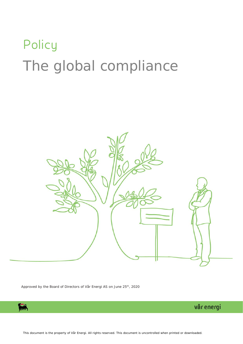# **Policy** The global compliance



Approved by the Board of Directors of Vår Energi AS on June 25<sup>th</sup>, 2020



vår energi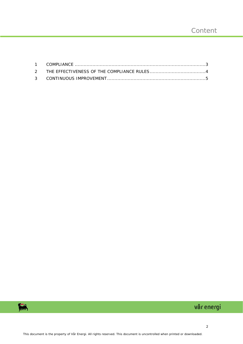

# vår energi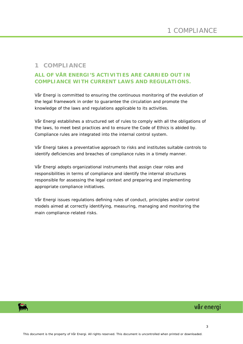#### <span id="page-2-0"></span>**1 COMPLIANCE**

#### **ALL OF VÅR ENERGI'S ACTIVITIES ARE CARRIED OUT IN COMPLIANCE WITH CURRENT LAWS AND REGULATIONS.**

Vår Energi is committed to ensuring the continuous monitoring of the evolution of the legal framework in order to guarantee the circulation and promote the knowledge of the laws and regulations applicable to its activities.

Vår Energi establishes a structured set of rules to comply with all the obligations of the laws, to meet best practices and to ensure the Code of Ethics is abided by. Compliance rules are integrated into the internal control system.

Vår Energi takes a preventative approach to risks and institutes suitable controls to identify deficiencies and breaches of compliance rules in a timely manner.

Vår Energi adopts organizational instruments that assign clear roles and responsibilities in terms of compliance and identify the internal structures responsible for assessing the legal context and preparing and implementing appropriate compliance initiatives.

Vår Energi issues regulations defining rules of conduct, principles and/or control models aimed at correctly identifying, measuring, managing and monitoring the main compliance-related risks.

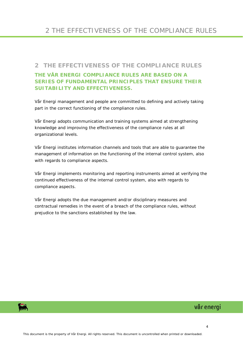#### <span id="page-3-0"></span>**2 THE EFFECTIVENESS OF THE COMPLIANCE RULES**

## **THE VÅR ENERGI COMPLIANCE RULES ARE BASED ON A SERIES OF FUNDAMENTAL PRINCIPLES THAT ENSURE THEIR SUITABILITY AND EFFECTIVENESS.**

Vår Energi management and people are committed to defining and actively taking part in the correct functioning of the compliance rules.

Vår Energi adopts communication and training systems aimed at strengthening knowledge and improving the effectiveness of the compliance rules at all organizational levels.

Vår Energi institutes information channels and tools that are able to guarantee the management of information on the functioning of the internal control system, also with regards to compliance aspects.

Vår Energi implements monitoring and reporting instruments aimed at verifying the continued effectiveness of the internal control system, also with regards to compliance aspects.

Vår Energi adopts the due management and/or disciplinary measures and contractual remedies in the event of a breach of the compliance rules, without prejudice to the sanctions established by the law.